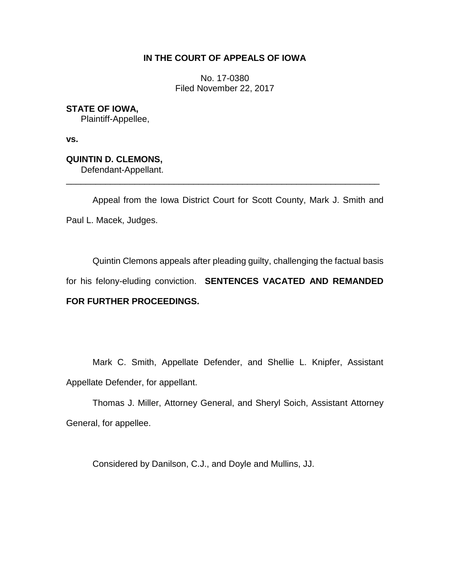## **IN THE COURT OF APPEALS OF IOWA**

No. 17-0380 Filed November 22, 2017

**STATE OF IOWA,** Plaintiff-Appellee,

**vs.** 

**QUINTIN D. CLEMONS,** Defendant-Appellant.

Appeal from the Iowa District Court for Scott County, Mark J. Smith and Paul L. Macek, Judges.

\_\_\_\_\_\_\_\_\_\_\_\_\_\_\_\_\_\_\_\_\_\_\_\_\_\_\_\_\_\_\_\_\_\_\_\_\_\_\_\_\_\_\_\_\_\_\_\_\_\_\_\_\_\_\_\_\_\_\_\_\_\_\_\_

Quintin Clemons appeals after pleading guilty, challenging the factual basis for his felony-eluding conviction. **SENTENCES VACATED AND REMANDED** 

# **FOR FURTHER PROCEEDINGS.**

Mark C. Smith, Appellate Defender, and Shellie L. Knipfer, Assistant Appellate Defender, for appellant.

Thomas J. Miller, Attorney General, and Sheryl Soich, Assistant Attorney General, for appellee.

Considered by Danilson, C.J., and Doyle and Mullins, JJ.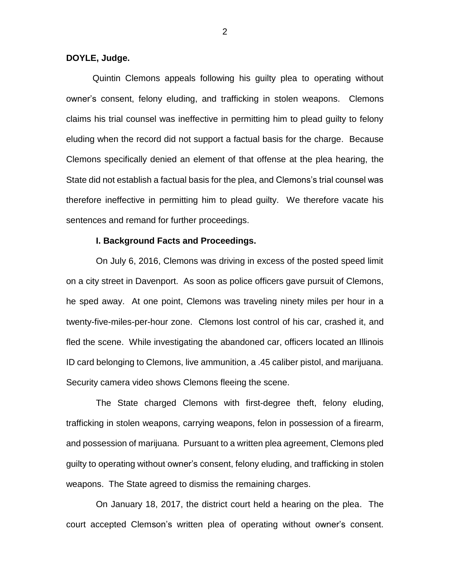### **DOYLE, Judge.**

Quintin Clemons appeals following his guilty plea to operating without owner's consent, felony eluding, and trafficking in stolen weapons. Clemons claims his trial counsel was ineffective in permitting him to plead guilty to felony eluding when the record did not support a factual basis for the charge. Because Clemons specifically denied an element of that offense at the plea hearing, the State did not establish a factual basis for the plea, and Clemons's trial counsel was therefore ineffective in permitting him to plead guilty. We therefore vacate his sentences and remand for further proceedings.

## **I. Background Facts and Proceedings.**

On July 6, 2016, Clemons was driving in excess of the posted speed limit on a city street in Davenport. As soon as police officers gave pursuit of Clemons, he sped away. At one point, Clemons was traveling ninety miles per hour in a twenty-five-miles-per-hour zone. Clemons lost control of his car, crashed it, and fled the scene. While investigating the abandoned car, officers located an Illinois ID card belonging to Clemons, live ammunition, a .45 caliber pistol, and marijuana. Security camera video shows Clemons fleeing the scene.

The State charged Clemons with first-degree theft, felony eluding, trafficking in stolen weapons, carrying weapons, felon in possession of a firearm, and possession of marijuana. Pursuant to a written plea agreement, Clemons pled guilty to operating without owner's consent, felony eluding, and trafficking in stolen weapons. The State agreed to dismiss the remaining charges.

On January 18, 2017, the district court held a hearing on the plea. The court accepted Clemson's written plea of operating without owner's consent.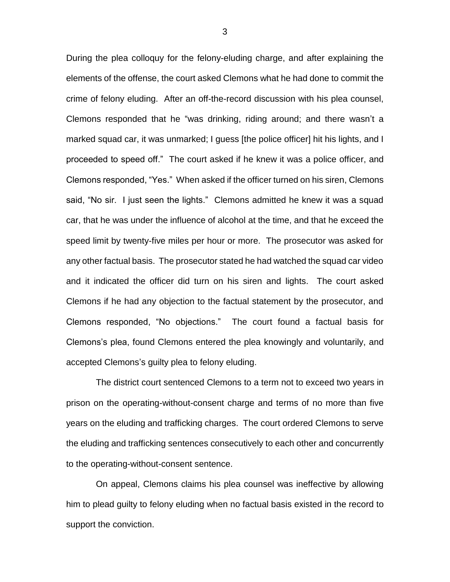During the plea colloquy for the felony-eluding charge, and after explaining the elements of the offense, the court asked Clemons what he had done to commit the crime of felony eluding. After an off-the-record discussion with his plea counsel, Clemons responded that he "was drinking, riding around; and there wasn't a marked squad car, it was unmarked; I guess [the police officer] hit his lights, and I proceeded to speed off." The court asked if he knew it was a police officer, and Clemons responded, "Yes." When asked if the officer turned on his siren, Clemons said, "No sir. I just seen the lights." Clemons admitted he knew it was a squad car, that he was under the influence of alcohol at the time, and that he exceed the speed limit by twenty-five miles per hour or more. The prosecutor was asked for any other factual basis. The prosecutor stated he had watched the squad car video and it indicated the officer did turn on his siren and lights. The court asked Clemons if he had any objection to the factual statement by the prosecutor, and Clemons responded, "No objections." The court found a factual basis for Clemons's plea, found Clemons entered the plea knowingly and voluntarily, and accepted Clemons's guilty plea to felony eluding.

The district court sentenced Clemons to a term not to exceed two years in prison on the operating-without-consent charge and terms of no more than five years on the eluding and trafficking charges. The court ordered Clemons to serve the eluding and trafficking sentences consecutively to each other and concurrently to the operating-without-consent sentence.

On appeal, Clemons claims his plea counsel was ineffective by allowing him to plead guilty to felony eluding when no factual basis existed in the record to support the conviction.

3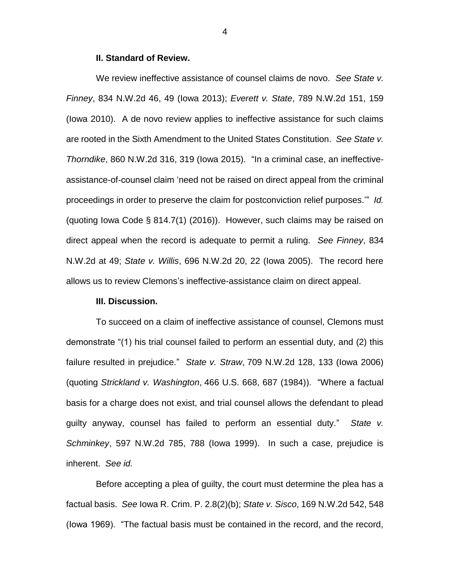#### **II. Standard of Review.**

We review ineffective assistance of counsel claims de novo. *See State v. Finney*, 834 N.W.2d 46, 49 (Iowa 2013); *Everett v. State*, 789 N.W.2d 151, 159 (Iowa 2010). A de novo review applies to ineffective assistance for such claims are rooted in the Sixth Amendment to the United States Constitution. *See State v. Thorndike*, 860 N.W.2d 316, 319 (Iowa 2015). "In a criminal case, an ineffectiveassistance-of-counsel claim 'need not be raised on direct appeal from the criminal proceedings in order to preserve the claim for postconviction relief purposes.'" *Id.* (quoting Iowa Code § 814.7(1) (2016)). However, such claims may be raised on direct appeal when the record is adequate to permit a ruling. *See Finney*, 834 N.W.2d at 49; *State v. Willis*, 696 N.W.2d 20, 22 (Iowa 2005). The record here allows us to review Clemons's ineffective-assistance claim on direct appeal.

#### **III. Discussion.**

To succeed on a claim of ineffective assistance of counsel, Clemons must demonstrate "(1) his trial counsel failed to perform an essential duty, and (2) this failure resulted in prejudice." *State v. Straw*, 709 N.W.2d 128, 133 (Iowa 2006) (quoting *Strickland v. Washington*, 466 U.S. 668, 687 (1984)). "Where a factual basis for a charge does not exist, and trial counsel allows the defendant to plead guilty anyway, counsel has failed to perform an essential duty." *State v. Schminkey*, 597 N.W.2d 785, 788 (Iowa 1999). In such a case, prejudice is inherent. *See id.*

Before accepting a plea of guilty, the court must determine the plea has a factual basis. *See* Iowa R. Crim. P. 2.8(2)(b); *State v. Sisco*, 169 N.W.2d 542, 548 (Iowa 1969). "The factual basis must be contained in the record, and the record,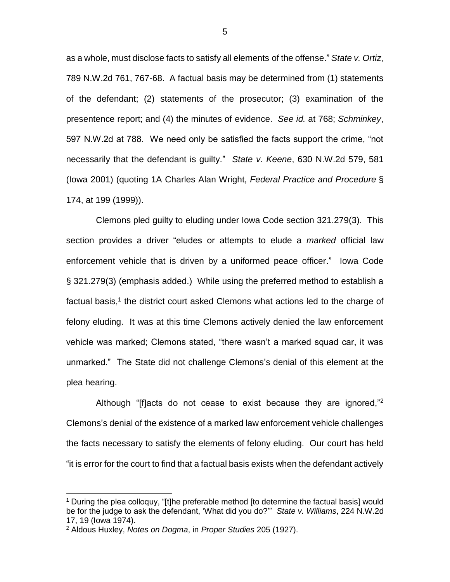as a whole, must disclose facts to satisfy all elements of the offense." *State v. Ortiz*, 789 N.W.2d 761, 767-68. A factual basis may be determined from (1) statements of the defendant; (2) statements of the prosecutor; (3) examination of the presentence report; and (4) the minutes of evidence. *See id.* at 768; *Schminkey*, 597 N.W.2d at 788. We need only be satisfied the facts support the crime, "not necessarily that the defendant is guilty." *State v. Keene*, 630 N.W.2d 579, 581 (Iowa 2001) (quoting 1A Charles Alan Wright, *Federal Practice and Procedure* § 174, at 199 (1999)).

Clemons pled guilty to eluding under Iowa Code section 321.279(3). This section provides a driver "eludes or attempts to elude a *marked* official law enforcement vehicle that is driven by a uniformed peace officer." Iowa Code § 321.279(3) (emphasis added.) While using the preferred method to establish a factual basis,<sup>1</sup> the district court asked Clemons what actions led to the charge of felony eluding. It was at this time Clemons actively denied the law enforcement vehicle was marked; Clemons stated, "there wasn't a marked squad car, it was unmarked." The State did not challenge Clemons's denial of this element at the plea hearing.

Although "[f]acts do not cease to exist because they are ignored,"<sup>2</sup> Clemons's denial of the existence of a marked law enforcement vehicle challenges the facts necessary to satisfy the elements of felony eluding. Our court has held "it is error for the court to find that a factual basis exists when the defendant actively

 $\overline{a}$ 

<sup>&</sup>lt;sup>1</sup> During the plea colloquy, "[t]he preferable method [to determine the factual basis] would be for the judge to ask the defendant, 'What did you do?'" *State v. Williams*, 224 N.W.2d 17, 19 (Iowa 1974).

<sup>2</sup> Aldous Huxley, *Notes on Dogma*, in *Proper Studies* 205 (1927).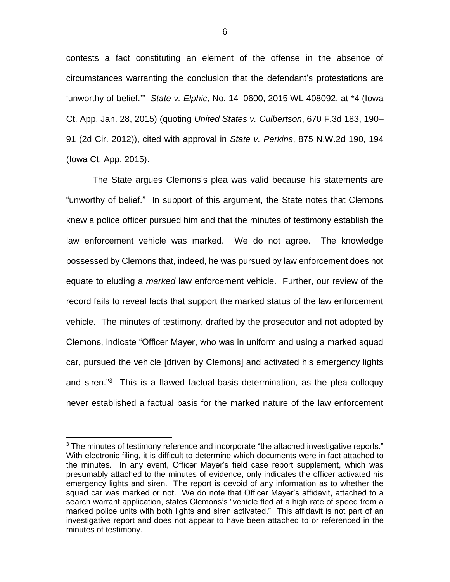contests a fact constituting an element of the offense in the absence of circumstances warranting the conclusion that the defendant's protestations are 'unworthy of belief.'" *State v. Elphic*, No. 14–0600, 2015 WL 408092, at \*4 (Iowa Ct. App. Jan. 28, 2015) (quoting *United States v. Culbertson*, 670 F.3d 183, 190– 91 (2d Cir. 2012)), cited with approval in *State v. Perkins*, 875 N.W.2d 190, 194 (Iowa Ct. App. 2015).

The State argues Clemons's plea was valid because his statements are "unworthy of belief." In support of this argument, the State notes that Clemons knew a police officer pursued him and that the minutes of testimony establish the law enforcement vehicle was marked. We do not agree. The knowledge possessed by Clemons that, indeed, he was pursued by law enforcement does not equate to eluding a *marked* law enforcement vehicle. Further, our review of the record fails to reveal facts that support the marked status of the law enforcement vehicle. The minutes of testimony, drafted by the prosecutor and not adopted by Clemons, indicate "Officer Mayer, who was in uniform and using a marked squad car, pursued the vehicle [driven by Clemons] and activated his emergency lights and siren."<sup>3</sup> This is a flawed factual-basis determination, as the plea colloquy never established a factual basis for the marked nature of the law enforcement

 $\overline{a}$ 

 $3$  The minutes of testimony reference and incorporate "the attached investigative reports." With electronic filing, it is difficult to determine which documents were in fact attached to the minutes. In any event, Officer Mayer's field case report supplement, which was presumably attached to the minutes of evidence, only indicates the officer activated his emergency lights and siren. The report is devoid of any information as to whether the squad car was marked or not. We do note that Officer Mayer's affidavit, attached to a search warrant application, states Clemons's "vehicle fled at a high rate of speed from a marked police units with both lights and siren activated." This affidavit is not part of an investigative report and does not appear to have been attached to or referenced in the minutes of testimony.